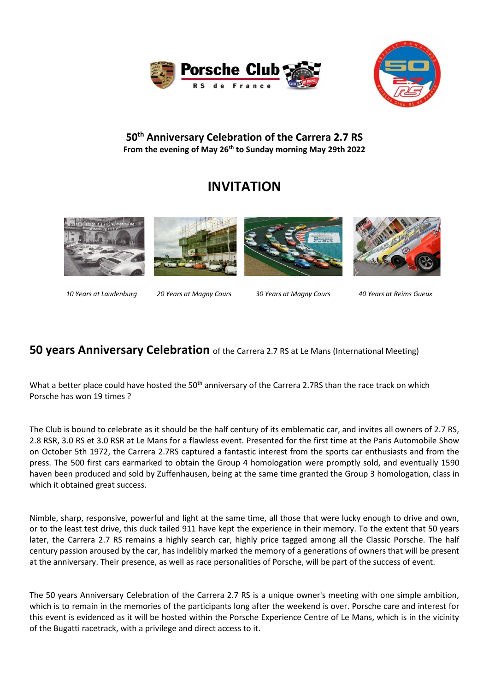



## **50 th Anniversary Celebration of the Carrera 2.7 RS From the evening of May 26th to Sunday morning May 29th 2022**

# **INVITATION**



*10 Years at Laudenburg 20 Years at Magny Cours 30 Years at Magny Cours 40 Years at Reims Gueux*

# **50 years Anniversary Celebration** of the Carrera 2.7 RS at Le Mans (International Meeting)

What a better place could have hosted the 50<sup>th</sup> anniversary of the Carrera 2.7RS than the race track on which Porsche has won 19 times ?

The Club is bound to celebrate as it should be the half century of its emblematic car, and invites all owners of 2.7 RS, 2.8 RSR, 3.0 RS et 3.0 RSR at Le Mans for a flawless event. Presented for the first time at the Paris Automobile Show on October 5th 1972, the Carrera 2.7RS captured a fantastic interest from the sports car enthusiasts and from the press. The 500 first cars earmarked to obtain the Group 4 homologation were promptly sold, and eventually 1590 haven been produced and sold by Zuffenhausen, being at the same time granted the Group 3 homologation, class in which it obtained great success.

Nimble, sharp, responsive, powerful and light at the same time, all those that were lucky enough to drive and own, or to the least test drive, this duck tailed 911 have kept the experience in their memory. To the extent that 50 years later, the Carrera 2.7 RS remains a highly search car, highly price tagged among all the Classic Porsche. The half century passion aroused by the car, has indelibly marked the memory of a generations of owners that will be present at the anniversary. Their presence, as well as race personalities of Porsche, will be part of the success of event.

The 50 years Anniversary Celebration of the Carrera 2.7 RS is a unique owner's meeting with one simple ambition, which is to remain in the memories of the participants long after the weekend is over. Porsche care and interest for this event is evidenced as it will be hosted within the Porsche Experience Centre of Le Mans, which is in the vicinity of the Bugatti racetrack, with a privilege and direct access to it.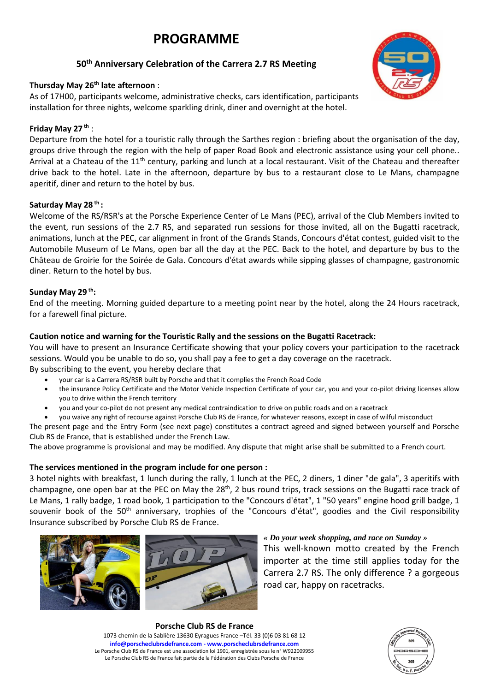# **PROGRAMME**

## **50 th Anniversary Celebration of the Carrera 2.7 RS Meeting**

#### **Thursday May 26th late afternoon** :

As of 17H00, participants welcome, administrative checks, cars identification, participants installation for three nights, welcome sparkling drink, diner and overnight at the hotel.

#### **Friday May 27 th** :

Departure from the hotel for a touristic rally through the Sarthes region : briefing about the organisation of the day, groups drive through the region with the help of paper Road Book and electronic assistance using your cell phone.. Arrival at a Chateau of the 11<sup>th</sup> century, parking and lunch at a local restaurant. Visit of the Chateau and thereafter drive back to the hotel. Late in the afternoon, departure by bus to a restaurant close to Le Mans, champagne aperitif, diner and return to the hotel by bus.

#### **Saturday May 28 th :**

Welcome of the RS/RSR's at the Porsche Experience Center of Le Mans (PEC), arrival of the Club Members invited to the event, run sessions of the 2.7 RS, and separated run sessions for those invited, all on the Bugatti racetrack, animations, lunch at the PEC, car alignment in front of the Grands Stands, Concours d'état contest, guided visit to the Automobile Museum of Le Mans, open bar all the day at the PEC. Back to the hotel, and departure by bus to the Château de Groirie for the Soirée de Gala. Concours d'état awards while sipping glasses of champagne, gastronomic diner. Return to the hotel by bus.

#### **Sunday May 29 th:**

End of the meeting. Morning guided departure to a meeting point near by the hotel, along the 24 Hours racetrack, for a farewell final picture.

#### **Caution notice and warning for the Touristic Rally and the sessions on the Bugatti Racetrack:**

You will have to present an Insurance Certificate showing that your policy covers your participation to the racetrack sessions. Would you be unable to do so, you shall pay a fee to get a day coverage on the racetrack. By subscribing to the event, you hereby declare that

- your car is a Carrera RS/RSR built by Porsche and that it complies the French Road Code
- the insurance Policy Certificate and the Motor Vehicle Inspection Certificate of your car, you and your co-pilot driving licenses allow you to drive within the French territory
- you and your co-pilot do not present any medical contraindication to drive on public roads and on a racetrack
- you waive any right of recourse against Porsche Club RS de France, for whatever reasons, except in case of wilful misconduct

The present page and the Entry Form (see next page) constitutes a contract agreed and signed between yourself and Porsche Club RS de France, that is established under the French Law.

The above programme is provisional and may be modified. Any dispute that might arise shall be submitted to a French court.

#### **The services mentioned in the program include for one person :**

3 hotel nights with breakfast, 1 lunch during the rally, 1 lunch at the PEC, 2 diners, 1 diner "de gala", 3 aperitifs with champagne, one open bar at the PEC on May the 28<sup>th</sup>, 2 bus round trips, track sessions on the Bugatti race track of Le Mans, 1 rally badge, 1 road book, 1 participation to the "Concours d'état", 1 "50 years" engine hood grill badge, 1 souvenir book of the 50<sup>th</sup> anniversary, trophies of the "Concours d'état", goodies and the Civil responsibility Insurance subscribed by Porsche Club RS de France.





This well-known motto created by the French importer at the time still applies today for the Carrera 2.7 RS. The only difference ? a gorgeous road car, happy on racetracks.

**Porsche Club RS de France**  1073 chemin de la Sablière 13630 Eyragues France –Tél. 33 (0)6 03 81 68 12 **[info@porscheclubrsdefrance.com](mailto:info@porscheclubrsdefrance.com) - [www.porscheclubrsdefrance.com](http://www.porscheclubrsdefrance.com/)** Le Porsche Club RS de France est une association loi 1901, enregistrée sous le n° W922009955 Le Porsche Club RS de France fait partie de la Fédération des Clubs Porsche de France